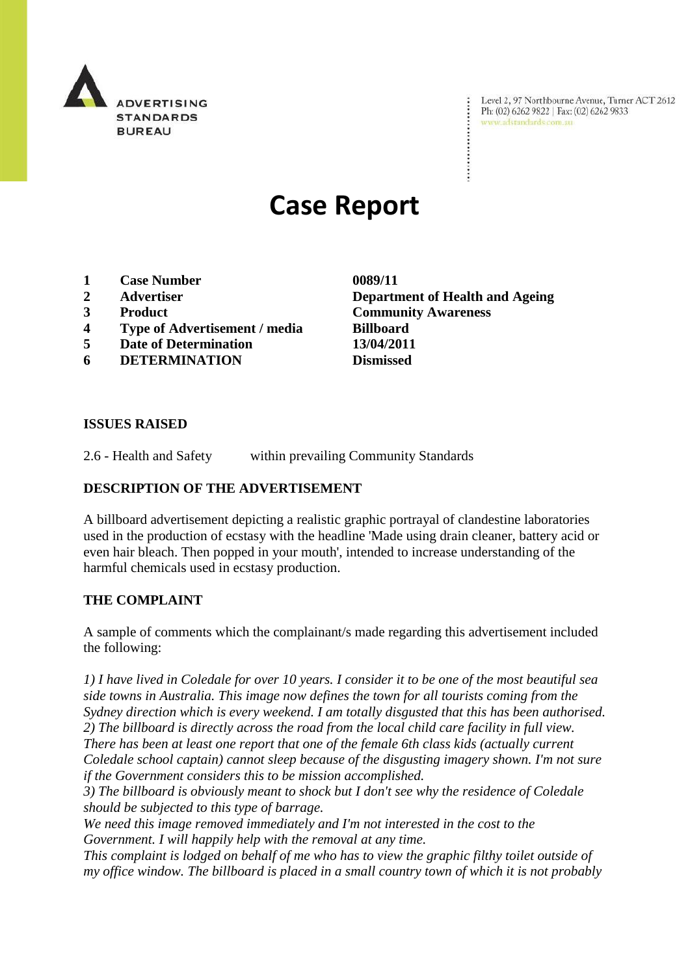

Level 2, 97 Northbourne Avenue, Turner ACT 2612 Ph: (02) 6262 9822 | Fax: (02) 6262 9833 www.adstandards.com.au

# **Case Report**

- **1 Case Number 0089/11**
- 
- 
- **4 Type of Advertisement / media Billboard**
- **5 Date of Determination 13/04/2011**
- **6 DETERMINATION Dismissed**

**2 Advertiser Department of Health and Ageing 3 Product Community Awareness**

#### **ISSUES RAISED**

2.6 - Health and Safety within prevailing Community Standards

### **DESCRIPTION OF THE ADVERTISEMENT**

A billboard advertisement depicting a realistic graphic portrayal of clandestine laboratories used in the production of ecstasy with the headline 'Made using drain cleaner, battery acid or even hair bleach. Then popped in your mouth', intended to increase understanding of the harmful chemicals used in ecstasy production.

## **THE COMPLAINT**

A sample of comments which the complainant/s made regarding this advertisement included the following:

*1) I have lived in Coledale for over 10 years. I consider it to be one of the most beautiful sea side towns in Australia. This image now defines the town for all tourists coming from the Sydney direction which is every weekend. I am totally disgusted that this has been authorised. 2) The billboard is directly across the road from the local child care facility in full view. There has been at least one report that one of the female 6th class kids (actually current Coledale school captain) cannot sleep because of the disgusting imagery shown. I'm not sure if the Government considers this to be mission accomplished.*

*3) The billboard is obviously meant to shock but I don't see why the residence of Coledale should be subjected to this type of barrage.* 

*We need this image removed immediately and I'm not interested in the cost to the Government. I will happily help with the removal at any time.*

*This complaint is lodged on behalf of me who has to view the graphic filthy toilet outside of my office window. The billboard is placed in a small country town of which it is not probably*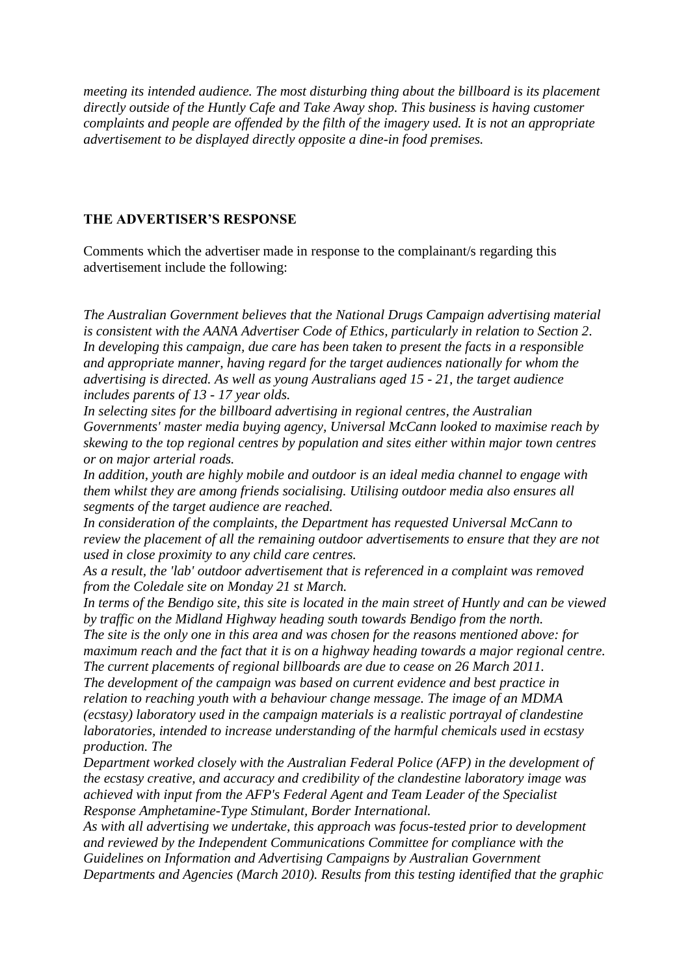*meeting its intended audience. The most disturbing thing about the billboard is its placement directly outside of the Huntly Cafe and Take Away shop. This business is having customer complaints and people are offended by the filth of the imagery used. It is not an appropriate advertisement to be displayed directly opposite a dine-in food premises.*

#### **THE ADVERTISER'S RESPONSE**

Comments which the advertiser made in response to the complainant/s regarding this advertisement include the following:

*The Australian Government believes that the National Drugs Campaign advertising material is consistent with the AANA Advertiser Code of Ethics, particularly in relation to Section 2. In developing this campaign, due care has been taken to present the facts in a responsible and appropriate manner, having regard for the target audiences nationally for whom the advertising is directed. As well as young Australians aged 15 - 21, the target audience includes parents of 13 - 17 year olds.*

*In selecting sites for the billboard advertising in regional centres, the Australian Governments' master media buying agency, Universal McCann looked to maximise reach by skewing to the top regional centres by population and sites either within major town centres or on major arterial roads.*

*In addition, youth are highly mobile and outdoor is an ideal media channel to engage with them whilst they are among friends socialising. Utilising outdoor media also ensures all segments of the target audience are reached.*

*In consideration of the complaints, the Department has requested Universal McCann to review the placement of all the remaining outdoor advertisements to ensure that they are not used in close proximity to any child care centres.*

*As a result, the 'lab' outdoor advertisement that is referenced in a complaint was removed from the Coledale site on Monday 21 st March.*

*In terms of the Bendigo site, this site is located in the main street of Huntly and can be viewed by traffic on the Midland Highway heading south towards Bendigo from the north.*

*The site is the only one in this area and was chosen for the reasons mentioned above: for maximum reach and the fact that it is on a highway heading towards a major regional centre. The current placements of regional billboards are due to cease on 26 March 2011.*

*The development of the campaign was based on current evidence and best practice in relation to reaching youth with a behaviour change message. The image of an MDMA (ecstasy) laboratory used in the campaign materials is a realistic portrayal of clandestine laboratories, intended to increase understanding of the harmful chemicals used in ecstasy production. The*

*Department worked closely with the Australian Federal Police (AFP) in the development of the ecstasy creative, and accuracy and credibility of the clandestine laboratory image was achieved with input from the AFP's Federal Agent and Team Leader of the Specialist Response Amphetamine-Type Stimulant, Border International.*

*As with all advertising we undertake, this approach was focus-tested prior to development and reviewed by the Independent Communications Committee for compliance with the Guidelines on Information and Advertising Campaigns by Australian Government Departments and Agencies (March 2010). Results from this testing identified that the graphic*